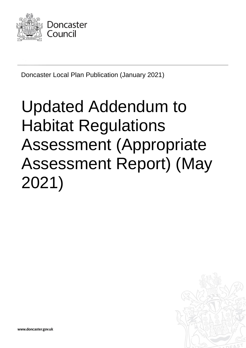

Doncaster Local Plan Publication (January 2021)

# Updated Addendum to Habitat Regulations Assessment (Appropriate Assessment Report) (May 2021)



www.doncaster.gov.uk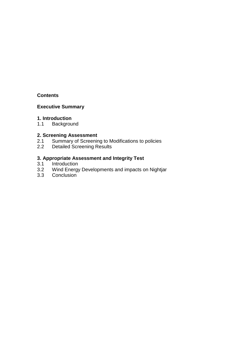#### **Contents**

# **Executive Summary**

#### **1. Introduction**

1.1 Background

## **2. Screening Assessment**

- 2.1 Summary of Screening to Modifications to policies
- 2.2 Detailed Screening Results

## **3. Appropriate Assessment and Integrity Test**

- 3.1 Introduction<br>3.2 Wind Energy
- Wind Energy Developments and impacts on Nightjar
- 3.3 Conclusion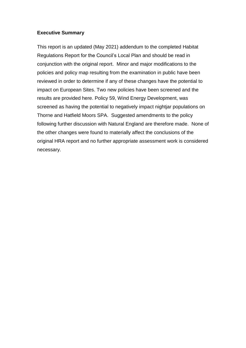#### **Executive Summary**

This report is an updated (May 2021) addendum to the completed Habitat Regulations Report for the Council's Local Plan and should be read in conjunction with the original report. Minor and major modifications to the policies and policy map resulting from the examination in public have been reviewed in order to determine if any of these changes have the potential to impact on European Sites. Two new policies have been screened and the results are provided here. Policy 59, Wind Energy Development, was screened as having the potential to negatively impact nightjar populations on Thorne and Hatfield Moors SPA. Suggested amendments to the policy following further discussion with Natural England are therefore made. None of the other changes were found to materially affect the conclusions of the original HRA report and no further appropriate assessment work is considered necessary.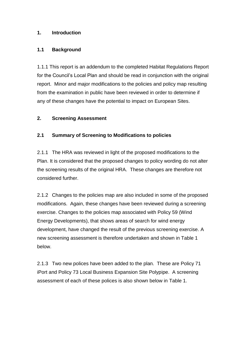## **1. Introduction**

#### **1.1 Background**

1.1.1 This report is an addendum to the completed Habitat Regulations Report for the Council's Local Plan and should be read in conjunction with the original report. Minor and major modifications to the policies and policy map resulting from the examination in public have been reviewed in order to determine if any of these changes have the potential to impact on European Sites.

#### **2. Screening Assessment**

## **2.1 Summary of Screening to Modifications to policies**

2.1.1 The HRA was reviewed in light of the proposed modifications to the Plan. It is considered that the proposed changes to policy wording do not alter the screening results of the original HRA. These changes are therefore not considered further.

2.1.2 Changes to the policies map are also included in some of the proposed modifications. Again, these changes have been reviewed during a screening exercise. Changes to the policies map associated with Policy 59 (Wind Energy Developments), that shows areas of search for wind energy development, have changed the result of the previous screening exercise. A new screening assessment is therefore undertaken and shown in Table 1 below.

2.1.3 Two new polices have been added to the plan. These are Policy 71 iPort and Policy 73 Local Business Expansion Site Polypipe. A screening assessment of each of these polices is also shown below in Table 1.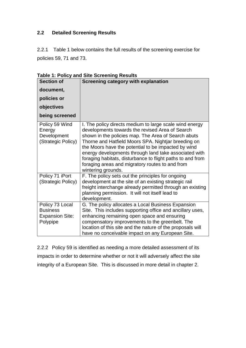# **2.2 Detailed Screening Results**

2.2.1 Table 1 below contains the full results of the screening exercise for policies 59, 71 and 73.

| <b>Section of</b>                                                        | <b>Screening category with explanation</b>                                                                                                                                                                                                                                                                                                                                                                                                                                      |
|--------------------------------------------------------------------------|---------------------------------------------------------------------------------------------------------------------------------------------------------------------------------------------------------------------------------------------------------------------------------------------------------------------------------------------------------------------------------------------------------------------------------------------------------------------------------|
| document,<br>policies or                                                 |                                                                                                                                                                                                                                                                                                                                                                                                                                                                                 |
| objectives                                                               |                                                                                                                                                                                                                                                                                                                                                                                                                                                                                 |
| being screened                                                           |                                                                                                                                                                                                                                                                                                                                                                                                                                                                                 |
| Policy 59 Wind<br>Energy<br>Development<br>(Strategic Policy)            | I. The policy directs medium to large scale wind energy<br>developments towards the revised Area of Search<br>shown in the policies map. The Area of Search abuts<br>Thorne and Hatfield Moors SPA. Nightjar breeding on<br>the Moors have the potential to be impacted by wind<br>energy developments through land take associated with<br>foraging habitats, disturbance to flight paths to and from<br>foraging areas and migratory routes to and from<br>wintering grounds. |
| Policy 71 iPort<br>(Strategic Policy)                                    | F. The policy sets out the principles for ongoing<br>development at the site of an existing strategic rail<br>freight interchange already permitted through an existing<br>planning permission. It will not itself lead to<br>development.                                                                                                                                                                                                                                      |
| Policy 73 Local<br><b>Business</b><br><b>Expansion Site:</b><br>Polypipe | G. The policy allocates a Local Business Expansion<br>Site. This includes supporting office and ancillary uses,<br>enhancing remaining open space and ensuring<br>compensatory improvements to the greenbelt. The<br>location of this site and the nature of the proposals will<br>have no conceivable impact on any European Site.                                                                                                                                             |

**Table 1: Policy and Site Screening Results**

2.2.2 Policy 59 is identified as needing a more detailed assessment of its impacts in order to determine whether or not it will adversely affect the site integrity of a European Site. This is discussed in more detail in chapter 2.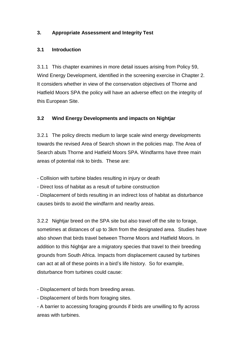# **3. Appropriate Assessment and Integrity Test**

## **3.1 Introduction**

3.1.1 This chapter examines in more detail issues arising from Policy 59, Wind Energy Development, identified in the screening exercise in Chapter 2. It considers whether in view of the conservation objectives of Thorne and Hatfield Moors SPA the policy will have an adverse effect on the integrity of this European Site.

# **3.2 Wind Energy Developments and impacts on Nightjar**

3.2.1 The policy directs medium to large scale wind energy developments towards the revised Area of Search shown in the policies map. The Area of Search abuts Thorne and Hatfield Moors SPA. Windfarms have three main areas of potential risk to birds. These are:

- Collision with turbine blades resulting in injury or death

- Direct loss of habitat as a result of turbine construction

- Displacement of birds resulting in an indirect loss of habitat as disturbance causes birds to avoid the windfarm and nearby areas.

3.2.2 Nightjar breed on the SPA site but also travel off the site to forage, sometimes at distances of up to 3km from the designated area. Studies have also shown that birds travel between Thorne Moors and Hatfield Moors. In addition to this Nightjar are a migratory species that travel to their breeding grounds from South Africa. Impacts from displacement caused by turbines can act at all of these points in a bird's life history. So for example, disturbance from turbines could cause:

- Displacement of birds from breeding areas.

- Displacement of birds from foraging sites.

- A barrier to accessing foraging grounds if birds are unwilling to fly across areas with turbines.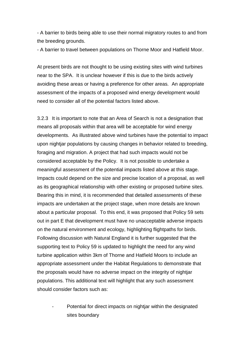- A barrier to birds being able to use their normal migratory routes to and from the breeding grounds.

- A barrier to travel between populations on Thorne Moor and Hatfield Moor.

At present birds are not thought to be using existing sites with wind turbines near to the SPA. It is unclear however if this is due to the birds actively avoiding these areas or having a preference for other areas. An appropriate assessment of the impacts of a proposed wind energy development would need to consider all of the potential factors listed above.

3.2.3 It is important to note that an Area of Search is not a designation that means all proposals within that area will be acceptable for wind energy developments. As illustrated above wind turbines have the potential to impact upon nightjar populations by causing changes in behavior related to breeding, foraging and migration. A project that had such impacts would not be considered acceptable by the Policy. It is not possible to undertake a meaningful assessment of the potential impacts listed above at this stage. Impacts could depend on the size and precise location of a proposal, as well as its geographical relationship with other existing or proposed turbine sites. Bearing this in mind, it is recommended that detailed assessments of these impacts are undertaken at the project stage, when more details are known about a particular proposal. To this end, it was proposed that Policy 59 sets out in part E that development must have no unacceptable adverse impacts on the natural environment and ecology, highlighting flightpaths for birds. Following discussion with Natural England it is further suggested that the supporting text to Policy 59 is updated to highlight the need for any wind turbine application within 3km of Thorne and Hatfield Moors to include an appropriate assessment under the Habitat Regulations to demonstrate that the proposals would have no adverse impact on the integrity of nightjar populations. This additional text will highlight that any such assessment should consider factors such as:

Potential for direct impacts on nightjar within the designated sites boundary